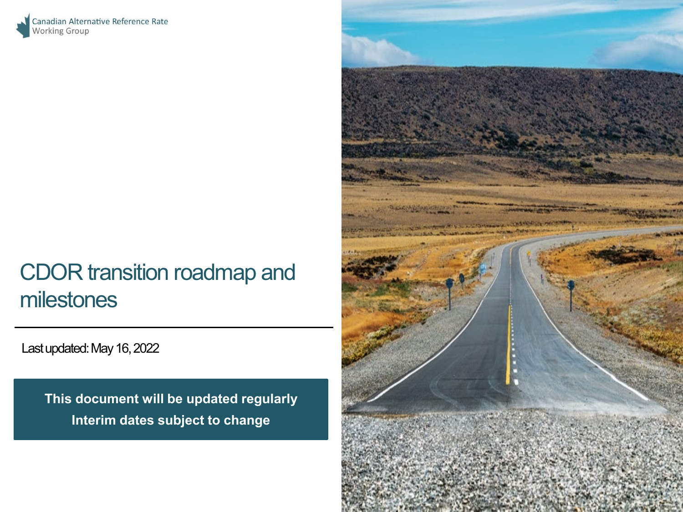

# CDOR transition roadmap and milestones

Last updated: May 16, 2022

**This document will be updated regularly Interim dates subject to change**

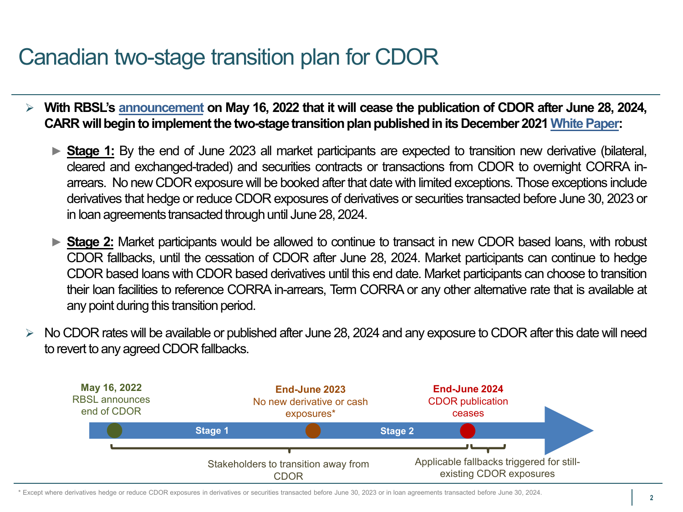## Canadian two-stage transition plan for CDOR

- With RBSL's [announcement](https://www.refinitiv.com/content/dam/marketing/en_us/documents/methodology/cdor-cessation-notice.pdf) on May 16, 2022 that it will cease the publication of CDOR after June 28, 2024, **CARR** will begin to implement the two-stage transition plan published in its December 2021 White Paper:
	- ► **Stage 1:** By the end of June 2023 all market participants are expected to transition new derivative (bilateral, cleared and exchanged-traded) and securities contracts or transactions from CDOR to overnight CORRA inarrears. No new CDOR exposure will be booked after that date with limited exceptions. Those exceptions include derivatives that hedge or reduce CDOR exposures of derivatives or securities transacted before June 30, 2023 or in loan agreements transacted through until June 28, 2024.
	- ► Stage 2: Market participants would be allowed to continue to transact in new CDOR based loans, with robust CDOR fallbacks, until the cessation of CDOR after June 28, 2024. Market participants can continue to hedge CDOR based loans with CDOR based derivatives until this end date. Market participants can choose to transition their loan facilities to reference CORRA in-arrears, Term CORRA or any other alternative rate that is available at any point during this transition period.
- No CDOR rates will be available or published after June 28, 2024 and any exposure to CDOR after this date will need to revert to any agreed CDOR fallbacks.



\* Except where derivatives hedge or reduce CDOR exposures in derivatives or securities transacted before June 30, 2023 or in loan agreements transacted before June 30, 2024.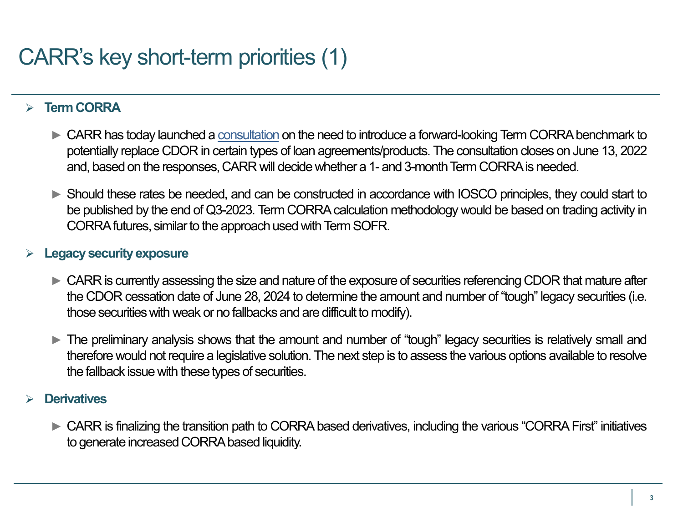# CARR's key short-term priorities (1)

### **Term CORRA**

- ► CARR has today launched a [consultation](https://www.bankofcanada.ca/?p=226644) on the need to introduce a forward-looking Term CORRA benchmark to potentially replace CDOR in certain types of loan agreements/products. The consultation closes on June 13, 2022 and, based on the responses, CARR will decide whether a 1- and 3-month Term CORRA is needed.
- ► Should these rates be needed, and can be constructed in accordance with IOSCO principles, they could start to be published by the end of Q3-2023. Term CORRA calculation methodology would be based on trading activity in CORRA futures, similar to the approach used with Term SOFR.

#### **Legacy securityexposure**

- ► CARR is currently assessing the size and nature of the exposure of securities referencing CDOR that mature after the CDOR cessation date of June 28, 2024 to determine the amount and number of "tough" legacy securities (i.e. those securities with weak or no fallbacks and are difficult to modify).
- ► The preliminary analysis shows that the amount and number of "tough" legacy securities is relatively small and therefore would not require a legislative solution. The next step is to assess the various options available to resolve the fallback issue with these types of securities.

#### **Derivatives**

► CARR is finalizing the transition path to CORRA based derivatives, including the various "CORRA First" initiatives to generate increased CORRA based liquidity.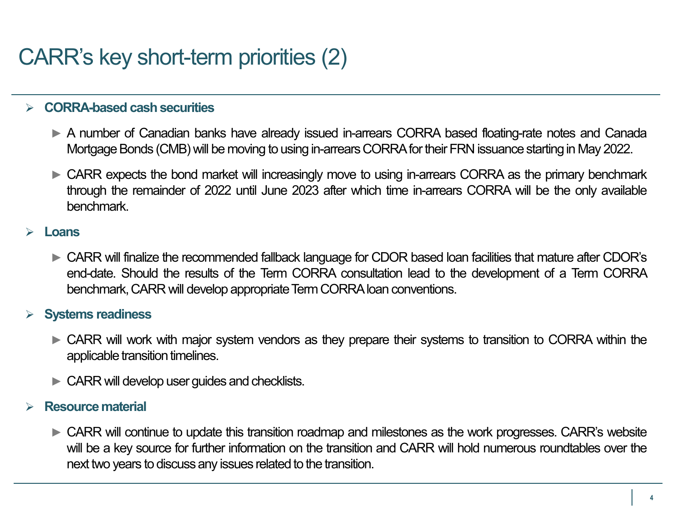# CARR's key short-term priorities (2)

### **CORRA-based cashsecurities**

- ► A number of Canadian banks have already issued in-arrears CORRA based floating-rate notes and Canada Mortgage Bonds (CMB) will be moving to using in-arrears CORRA for their FRN issuance starting in May 2022.
- ► CARR expects the bond market will increasingly move to using in-arrears CORRA as the primary benchmark through the remainder of 2022 until June 2023 after which time in-arrears CORRA will be the only available benchmark.

#### **Loans**

► CARR will finalize the recommended fallback language for CDOR based loan facilities that mature after CDOR's end-date. Should the results of the Term CORRA consultation lead to the development of a Term CORRA benchmark, CARR will develop appropriate Term CORRA loan conventions.

#### **Systems readiness**

- ► CARR will work with major system vendors as they prepare their systems to transition to CORRA within the applicable transition timelines.
- ► CARR will develop user quides and checklists.

### **Resourcematerial**

► CARR will continue to update this transition roadmap and milestones as the work progresses. CARR's website will be a key source for further information on the transition and CARR will hold numerous roundtables over the next two years to discuss any issues related to the transition.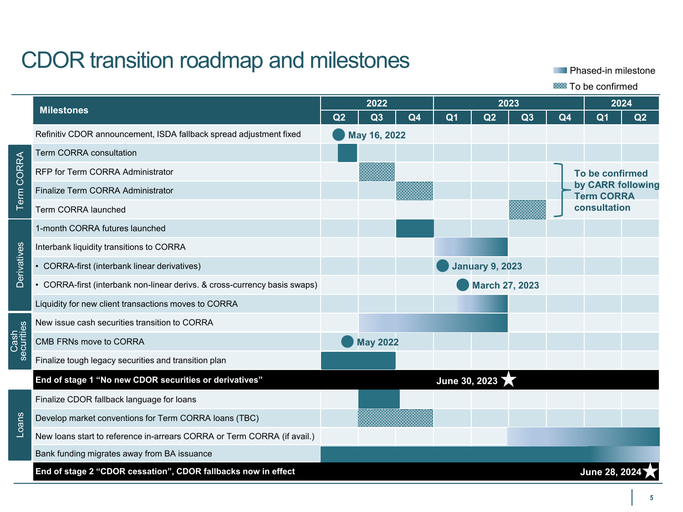## CDOR transition roadmap and milestones

**Phased-in milestone** 

**SSSS** To be confirmed

|                    | <b>Milestones</b>                                                         | 2022           |                 |    | 2023           |                        |    |    | 2024                                   |                |
|--------------------|---------------------------------------------------------------------------|----------------|-----------------|----|----------------|------------------------|----|----|----------------------------------------|----------------|
|                    |                                                                           | Q <sub>2</sub> | Q3              | Q4 | Q <sub>1</sub> | Q2                     | Q3 | Q4 | Q <sub>1</sub>                         | Q <sub>2</sub> |
|                    | Refinitiv CDOR announcement, ISDA fallback spread adjustment fixed        |                | May 16, 2022    |    |                |                        |    |    |                                        |                |
| CORRA<br>Term      | Term CORRA consultation                                                   |                |                 |    |                |                        |    |    |                                        |                |
|                    | RFP for Term CORRA Administrator                                          |                |                 |    |                |                        |    |    | To be confirmed                        |                |
|                    | Finalize Term CORRA Administrator                                         |                |                 |    |                |                        |    |    | by CARR following<br><b>Term CORRA</b> |                |
|                    | Term CORRA launched                                                       |                |                 |    |                |                        |    |    | consultation                           |                |
| Derivatives        | 1-month CORRA futures launched                                            |                |                 |    |                |                        |    |    |                                        |                |
|                    | Interbank liquidity transitions to CORRA                                  |                |                 |    |                |                        |    |    |                                        |                |
|                    | • CORRA-first (interbank linear derivatives)                              |                |                 |    |                | <b>January 9, 2023</b> |    |    |                                        |                |
|                    | • CORRA-first (interbank non-linear derivs. & cross-currency basis swaps) |                |                 |    |                | <b>March 27, 2023</b>  |    |    |                                        |                |
|                    | Liquidity for new client transactions moves to CORRA                      |                |                 |    |                |                        |    |    |                                        |                |
| Cash<br>securities | New issue cash securities transition to CORRA                             |                |                 |    |                |                        |    |    |                                        |                |
|                    | CMB FRNs move to CORRA                                                    |                | <b>May 2022</b> |    |                |                        |    |    |                                        |                |
|                    | Finalize tough legacy securities and transition plan                      |                |                 |    |                |                        |    |    |                                        |                |
|                    | End of stage 1 "No new CDOR securities or derivatives"                    |                |                 |    |                | June 30, 2023          |    |    |                                        |                |
| Loans              | Finalize CDOR fallback language for loans                                 |                |                 |    |                |                        |    |    |                                        |                |
|                    | Develop market conventions for Term CORRA loans (TBC)                     |                |                 |    |                |                        |    |    |                                        |                |
|                    | New loans start to reference in-arrears CORRA or Term CORRA (if avail.)   |                |                 |    |                |                        |    |    |                                        |                |
|                    | Bank funding migrates away from BA issuance                               |                |                 |    |                |                        |    |    |                                        |                |
|                    | End of stage 2 "CDOR cessation", CDOR fallbacks now in effect             |                |                 |    |                |                        |    |    | June 28, 2024                          |                |